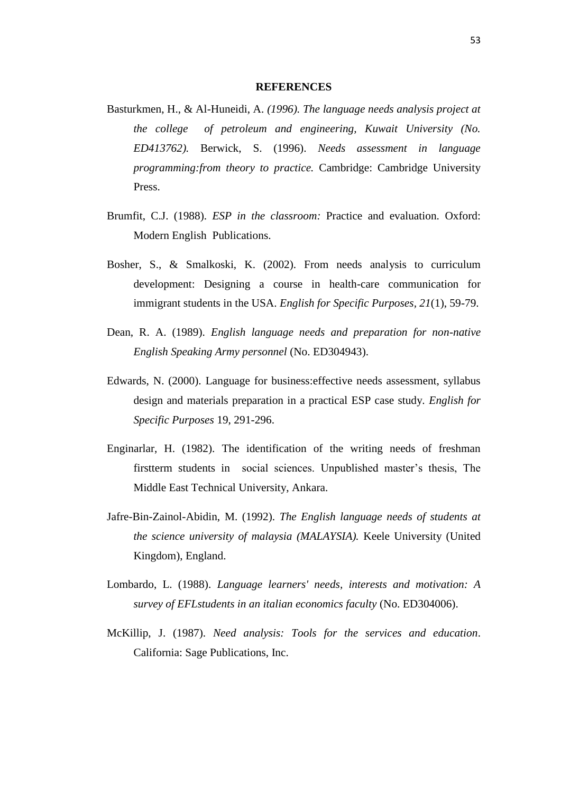## **REFERENCES**

- Basturkmen, H., & Al-Huneidi, A. *(1996). The language needs analysis project at the college of petroleum and engineering, Kuwait University (No. ED413762).* Berwick, S. (1996). *Needs assessment in language programming:from theory to practice.* Cambridge: Cambridge University Press.
- Brumfit, C.J. (1988). *ESP in the classroom:* Practice and evaluation. Oxford: Modern English Publications.
- Bosher, S., & Smalkoski, K. (2002). From needs analysis to curriculum development: Designing a course in health-care communication for immigrant students in the USA. *English for Specific Purposes, 21*(1), 59-79.
- Dean, R. A. (1989). *English language needs and preparation for non-native English Speaking Army personnel* (No. ED304943).
- Edwards, N. (2000). Language for business:effective needs assessment, syllabus design and materials preparation in a practical ESP case study*. English for Specific Purposes* 19, 291-296.
- Enginarlar, H. (1982). The identification of the writing needs of freshman firstterm students in social sciences. Unpublished master's thesis, The Middle East Technical University, Ankara.
- Jafre-Bin-Zainol-Abidin, M. (1992). *The English language needs of students at the science university of malaysia (MALAYSIA).* Keele University (United Kingdom), England.
- Lombardo, L. (1988). *Language learners' needs, interests and motivation: A survey of EFLstudents in an italian economics faculty* (No. ED304006).
- McKillip, J. (1987). *Need analysis: Tools for the services and education*. California: Sage Publications, Inc.